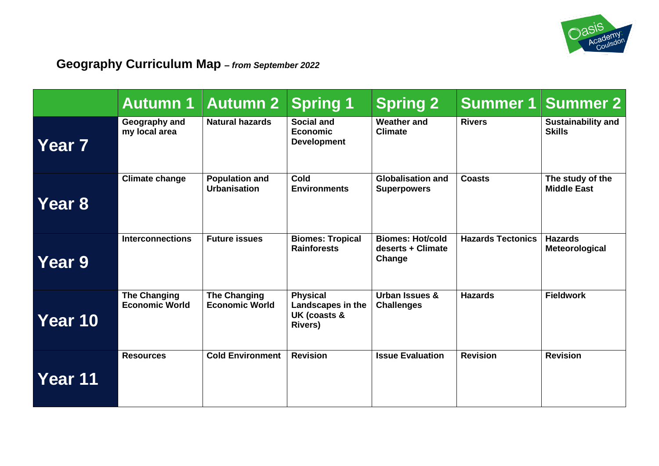

# **Geography Curriculum Map** *– from September 2022*

|                   | <b>Autumn 1</b>                              | <b>Autumn 2</b>                              | <b>Spring 1</b>                                                        | <b>Spring 2</b>                                        |                          | <b>Summer 1 Summer 2</b>                   |
|-------------------|----------------------------------------------|----------------------------------------------|------------------------------------------------------------------------|--------------------------------------------------------|--------------------------|--------------------------------------------|
| Year <sub>7</sub> | Geography and<br>my local area               | <b>Natural hazards</b>                       | <b>Social and</b><br><b>Economic</b><br><b>Development</b>             | <b>Weather and</b><br><b>Climate</b>                   | <b>Rivers</b>            | <b>Sustainability and</b><br><b>Skills</b> |
| Year 8            | <b>Climate change</b>                        | <b>Population and</b><br><b>Urbanisation</b> | Cold<br><b>Environments</b>                                            | <b>Globalisation and</b><br><b>Superpowers</b>         | <b>Coasts</b>            | The study of the<br><b>Middle East</b>     |
| <b>Year 9</b>     | <b>Interconnections</b>                      | <b>Future issues</b>                         | <b>Biomes: Tropical</b><br><b>Rainforests</b>                          | <b>Biomes: Hot/cold</b><br>deserts + Climate<br>Change | <b>Hazards Tectonics</b> | <b>Hazards</b><br>Meteorological           |
| Year 10           | <b>The Changing</b><br><b>Economic World</b> | <b>The Changing</b><br><b>Economic World</b> | <b>Physical</b><br>Landscapes in the<br>UK (coasts &<br><b>Rivers)</b> | Urban Issues &<br><b>Challenges</b>                    | <b>Hazards</b>           | <b>Fieldwork</b>                           |
| Year 11           | <b>Resources</b>                             | <b>Cold Environment</b>                      | <b>Revision</b>                                                        | <b>Issue Evaluation</b>                                | <b>Revision</b>          | <b>Revision</b>                            |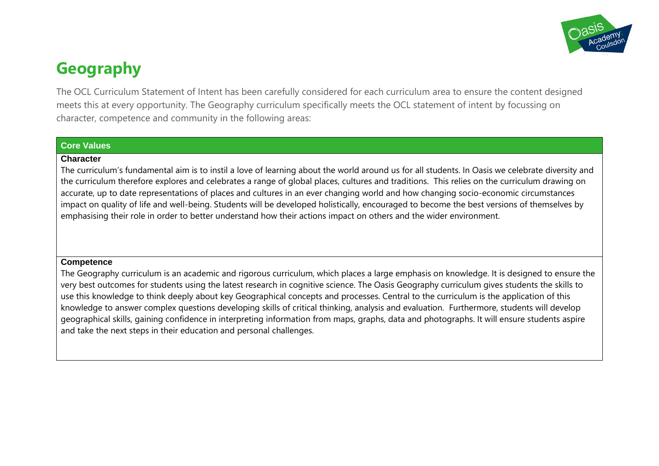

# **Geography**

The OCL Curriculum Statement of Intent has been carefully considered for each curriculum area to ensure the content designed meets this at every opportunity. The Geography curriculum specifically meets the OCL statement of intent by focussing on character, competence and community in the following areas:

### **Core Values**

#### **Character**

The curriculum's fundamental aim is to instil a love of learning about the world around us for all students. In Oasis we celebrate diversity and the curriculum therefore explores and celebrates a range of global places, cultures and traditions. This relies on the curriculum drawing on accurate, up to date representations of places and cultures in an ever changing world and how changing socio-economic circumstances impact on quality of life and well-being. Students will be developed holistically, encouraged to become the best versions of themselves by emphasising their role in order to better understand how their actions impact on others and the wider environment.

#### **Competence**

The Geography curriculum is an academic and rigorous curriculum, which places a large emphasis on knowledge. It is designed to ensure the very best outcomes for students using the latest research in cognitive science. The Oasis Geography curriculum gives students the skills to use this knowledge to think deeply about key Geographical concepts and processes. Central to the curriculum is the application of this knowledge to answer complex questions developing skills of critical thinking, analysis and evaluation. Furthermore, students will develop geographical skills, gaining confidence in interpreting information from maps, graphs, data and photographs. It will ensure students aspire and take the next steps in their education and personal challenges.